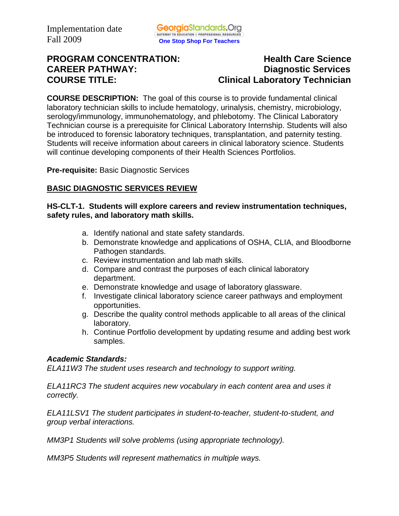# **PROGRAM CONCENTRATION:** Health Care Science **CAREER PATHWAY: Diagnostic Services COURSE TITLE:** COURSE TITLE:

**COURSE DESCRIPTION:** The goal of this course is to provide fundamental clinical laboratory technician skills to include hematology, urinalysis, chemistry, microbiology, serology/immunology, immunohematology, and phlebotomy. The Clinical Laboratory Technician course is a prerequisite for Clinical Laboratory Internship. Students will also be introduced to forensic laboratory techniques, transplantation, and paternity testing. Students will receive information about careers in clinical laboratory science. Students will continue developing components of their Health Sciences Portfolios.

**Pre-requisite:** Basic Diagnostic Services

# **BASIC DIAGNOSTIC SERVICES REVIEW**

#### **HS-CLT-1. Students will explore careers and review instrumentation techniques, safety rules, and laboratory math skills.**

- a. Identify national and state safety standards.
- b. Demonstrate knowledge and applications of OSHA, CLIA, and Bloodborne Pathogen standards.
- c. Review instrumentation and lab math skills.
- d. Compare and contrast the purposes of each clinical laboratory department.
- e. Demonstrate knowledge and usage of laboratory glassware.
- f. Investigate clinical laboratory science career pathways and employment opportunities.
- g. Describe the quality control methods applicable to all areas of the clinical laboratory.
- h. Continue Portfolio development by updating resume and adding best work samples.

#### *Academic Standards:*

*ELA11W3 The student uses research and technology to support writing.* 

*ELA11RC3 The student acquires new vocabulary in each content area and uses it correctly.* 

*ELA11LSV1 The student participates in student-to-teacher, student-to-student, and group verbal interactions.* 

*MM3P1 Students will solve problems (using appropriate technology).* 

*MM3P5 Students will represent mathematics in multiple ways.*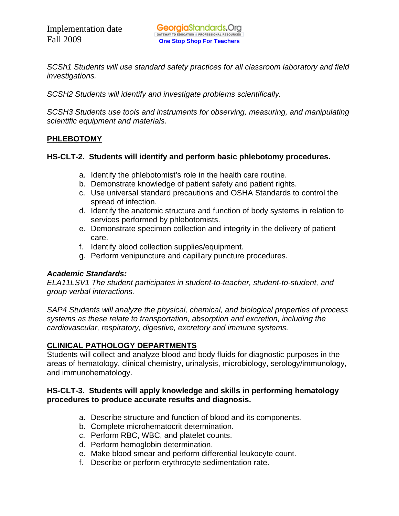*SCSh1 Students will use standard safety practices for all classroom laboratory and field investigations.* 

*SCSH2 Students will identify and investigate problems scientifically.* 

*SCSH3 Students use tools and instruments for observing, measuring, and manipulating scientific equipment and materials.* 

# **PHLEBOTOMY**

# **HS-CLT-2. Students will identify and perform basic phlebotomy procedures.**

- a. Identify the phlebotomist's role in the health care routine.
- b. Demonstrate knowledge of patient safety and patient rights.
- c. Use universal standard precautions and OSHA Standards to control the spread of infection.
- d. Identify the anatomic structure and function of body systems in relation to services performed by phlebotomists.
- e. Demonstrate specimen collection and integrity in the delivery of patient care.
- f. Identify blood collection supplies/equipment.
- g. Perform venipuncture and capillary puncture procedures.

# *Academic Standards:*

*ELA11LSV1 The student participates in student-to-teacher, student-to-student, and group verbal interactions.* 

*SAP4 Students will analyze the physical, chemical, and biological properties of process systems as these relate to transportation, absorption and excretion, including the cardiovascular, respiratory, digestive, excretory and immune systems.* 

# **CLINICAL PATHOLOGY DEPARTMENTS**

Students will collect and analyze blood and body fluids for diagnostic purposes in the areas of hematology, clinical chemistry, urinalysis, microbiology, serology/immunology, and immunohematology.

#### **HS-CLT-3. Students will apply knowledge and skills in performing hematology procedures to produce accurate results and diagnosis.**

- a. Describe structure and function of blood and its components.
- b. Complete microhematocrit determination.
- c. Perform RBC, WBC, and platelet counts.
- d. Perform hemoglobin determination.
- e. Make blood smear and perform differential leukocyte count.
- f. Describe or perform erythrocyte sedimentation rate.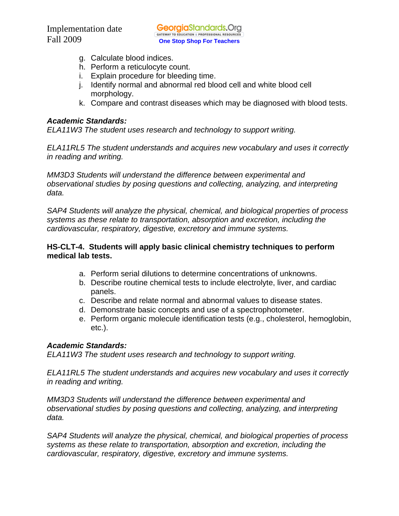- g. Calculate blood indices.
- h. Perform a reticulocyte count.
- i. Explain procedure for bleeding time.
- j. Identify normal and abnormal red blood cell and white blood cell morphology.
- k. Compare and contrast diseases which may be diagnosed with blood tests.

#### *Academic Standards:*

*ELA11W3 The student uses research and technology to support writing.* 

*ELA11RL5 The student understands and acquires new vocabulary and uses it correctly in reading and writing.* 

*MM3D3 Students will understand the difference between experimental and observational studies by posing questions and collecting, analyzing, and interpreting data.* 

*SAP4 Students will analyze the physical, chemical, and biological properties of process systems as these relate to transportation, absorption and excretion, including the cardiovascular, respiratory, digestive, excretory and immune systems.* 

#### **HS-CLT-4. Students will apply basic clinical chemistry techniques to perform medical lab tests.**

- a. Perform serial dilutions to determine concentrations of unknowns.
- b. Describe routine chemical tests to include electrolyte, liver, and cardiac panels.
- c. Describe and relate normal and abnormal values to disease states.
- d. Demonstrate basic concepts and use of a spectrophotometer.
- e. Perform organic molecule identification tests (e.g., cholesterol, hemoglobin, etc.).

#### *Academic Standards:*

*ELA11W3 The student uses research and technology to support writing.* 

*ELA11RL5 The student understands and acquires new vocabulary and uses it correctly in reading and writing.* 

*MM3D3 Students will understand the difference between experimental and observational studies by posing questions and collecting, analyzing, and interpreting data.* 

*SAP4 Students will analyze the physical, chemical, and biological properties of process systems as these relate to transportation, absorption and excretion, including the cardiovascular, respiratory, digestive, excretory and immune systems.*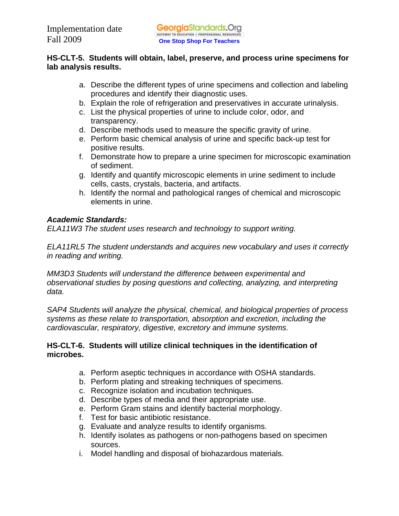## **HS-CLT-5. Students will obtain, label, preserve, and process urine specimens for lab analysis results.**

- a. Describe the different types of urine specimens and collection and labeling procedures and identify their diagnostic uses.
- b. Explain the role of refrigeration and preservatives in accurate urinalysis.
- c. List the physical properties of urine to include color, odor, and transparency.
- d. Describe methods used to measure the specific gravity of urine.
- e. Perform basic chemical analysis of urine and specific back-up test for positive results.
- f. Demonstrate how to prepare a urine specimen for microscopic examination of sediment.
- g. Identify and quantify microscopic elements in urine sediment to include cells, casts, crystals, bacteria, and artifacts.
- h. Identify the normal and pathological ranges of chemical and microscopic elements in urine.

# *Academic Standards:*

*ELA11W3 The student uses research and technology to support writing.* 

*ELA11RL5 The student understands and acquires new vocabulary and uses it correctly in reading and writing.* 

*MM3D3 Students will understand the difference between experimental and observational studies by posing questions and collecting, analyzing, and interpreting data.* 

*SAP4 Students will analyze the physical, chemical, and biological properties of process systems as these relate to transportation, absorption and excretion, including the cardiovascular, respiratory, digestive, excretory and immune systems.* 

# **HS-CLT-6. Students will utilize clinical techniques in the identification of microbes.**

- a. Perform aseptic techniques in accordance with OSHA standards.
- b. Perform plating and streaking techniques of specimens.
- c. Recognize isolation and incubation techniques.
- d. Describe types of media and their appropriate use.
- e. Perform Gram stains and identify bacterial morphology.
- f. Test for basic antibiotic resistance.
- g. Evaluate and analyze results to identify organisms.
- h. Identify isolates as pathogens or non-pathogens based on specimen sources.
- i. Model handling and disposal of biohazardous materials.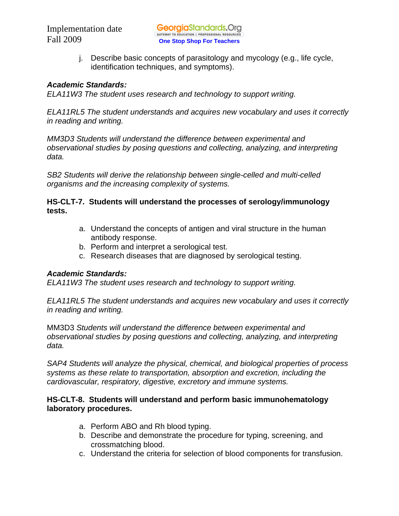j. Describe basic concepts of parasitology and mycology (e.g., life cycle, identification techniques, and symptoms).

#### *Academic Standards:*

*ELA11W3 The student uses research and technology to support writing.* 

*ELA11RL5 The student understands and acquires new vocabulary and uses it correctly in reading and writing.* 

*MM3D3 Students will understand the difference between experimental and observational studies by posing questions and collecting, analyzing, and interpreting data.* 

*SB2 Students will derive the relationship between single-celled and multi-celled organisms and the increasing complexity of systems.* 

## **HS-CLT-7. Students will understand the processes of serology/immunology tests.**

- a. Understand the concepts of antigen and viral structure in the human antibody response.
- b. Perform and interpret a serological test.
- c. Research diseases that are diagnosed by serological testing.

# *Academic Standards:*

*ELA11W3 The student uses research and technology to support writing.* 

*ELA11RL5 The student understands and acquires new vocabulary and uses it correctly in reading and writing.* 

MM3D3 *Students will understand the difference between experimental and observational studies by posing questions and collecting, analyzing, and interpreting data.* 

*SAP4 Students will analyze the physical, chemical, and biological properties of process systems as these relate to transportation, absorption and excretion, including the cardiovascular, respiratory, digestive, excretory and immune systems.* 

# **HS-CLT-8. Students will understand and perform basic immunohematology laboratory procedures.**

- a. Perform ABO and Rh blood typing.
- b. Describe and demonstrate the procedure for typing, screening, and crossmatching blood.
- c. Understand the criteria for selection of blood components for transfusion.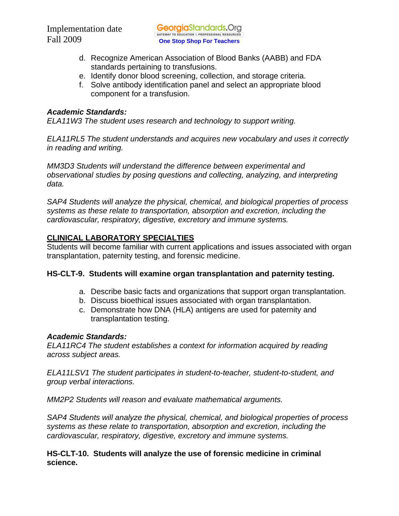- d. Recognize American Association of Blood Banks (AABB) and FDA standards pertaining to transfusions.
- e. Identify donor blood screening, collection, and storage criteria.
- f. Solve antibody identification panel and select an appropriate blood component for a transfusion.

## *Academic Standards:*

*ELA11W3 The student uses research and technology to support writing.* 

*ELA11RL5 The student understands and acquires new vocabulary and uses it correctly in reading and writing.* 

*MM3D3 Students will understand the difference between experimental and observational studies by posing questions and collecting, analyzing, and interpreting data.* 

*SAP4 Students will analyze the physical, chemical, and biological properties of process systems as these relate to transportation, absorption and excretion, including the cardiovascular, respiratory, digestive, excretory and immune systems.* 

# **CLINICAL LABORATORY SPECIALTIES**

Students will become familiar with current applications and issues associated with organ transplantation, paternity testing, and forensic medicine.

# **HS-CLT-9. Students will examine organ transplantation and paternity testing.**

- a. Describe basic facts and organizations that support organ transplantation.
- b. Discuss bioethical issues associated with organ transplantation.
- c. Demonstrate how DNA (HLA) antigens are used for paternity and transplantation testing.

# *Academic Standards:*

*ELA11RC4 The student establishes a context for information acquired by reading across subject areas.* 

*ELA11LSV1 The student participates in student-to-teacher, student-to-student, and group verbal interactions.* 

*MM2P2 Students will reason and evaluate mathematical arguments.* 

*SAP4 Students will analyze the physical, chemical, and biological properties of process systems as these relate to transportation, absorption and excretion, including the cardiovascular, respiratory, digestive, excretory and immune systems.* 

# **HS-CLT-10. Students will analyze the use of forensic medicine in criminal science.**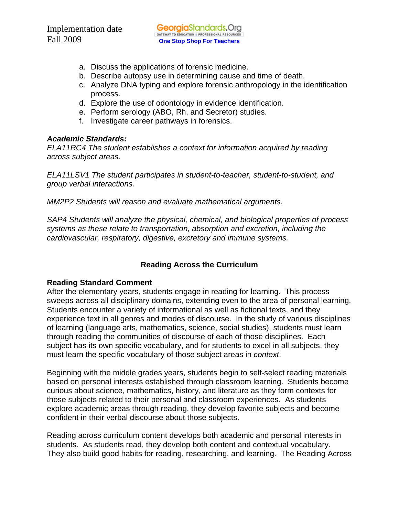- a. Discuss the applications of forensic medicine.
- b. Describe autopsy use in determining cause and time of death.
- c. Analyze DNA typing and explore forensic anthropology in the identification process.
- d. Explore the use of odontology in evidence identification.
- e. Perform serology (ABO, Rh, and Secretor) studies.
- f. Investigate career pathways in forensics.

#### *Academic Standards:*

*ELA11RC4 The student establishes a context for information acquired by reading across subject areas.* 

*ELA11LSV1 The student participates in student-to-teacher, student-to-student, and group verbal interactions.* 

*MM2P2 Students will reason and evaluate mathematical arguments.* 

*SAP4 Students will analyze the physical, chemical, and biological properties of process systems as these relate to transportation, absorption and excretion, including the cardiovascular, respiratory, digestive, excretory and immune systems.* 

# **Reading Across the Curriculum**

#### **Reading Standard Comment**

After the elementary years, students engage in reading for learning. This process sweeps across all disciplinary domains, extending even to the area of personal learning. Students encounter a variety of informational as well as fictional texts, and they experience text in all genres and modes of discourse. In the study of various disciplines of learning (language arts, mathematics, science, social studies), students must learn through reading the communities of discourse of each of those disciplines. Each subject has its own specific vocabulary, and for students to excel in all subjects, they must learn the specific vocabulary of those subject areas in *context*.

Beginning with the middle grades years, students begin to self-select reading materials based on personal interests established through classroom learning. Students become curious about science, mathematics, history, and literature as they form contexts for those subjects related to their personal and classroom experiences. As students explore academic areas through reading, they develop favorite subjects and become confident in their verbal discourse about those subjects.

Reading across curriculum content develops both academic and personal interests in students. As students read, they develop both content and contextual vocabulary. They also build good habits for reading, researching, and learning. The Reading Across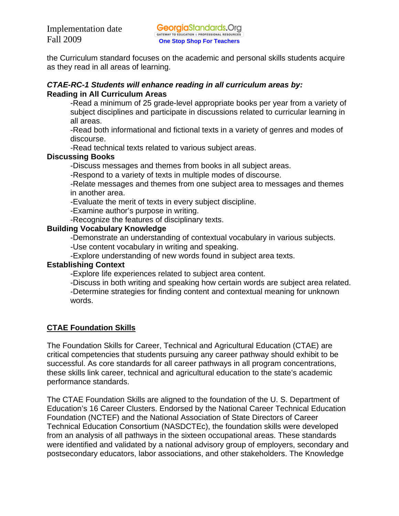the Curriculum standard focuses on the academic and personal skills students acquire as they read in all areas of learning.

## *CTAE-RC-1 Students will enhance reading in all curriculum areas by:*  **Reading in All Curriculum Areas**

-Read a minimum of 25 grade-level appropriate books per year from a variety of subject disciplines and participate in discussions related to curricular learning in all areas.

-Read both informational and fictional texts in a variety of genres and modes of discourse.

-Read technical texts related to various subject areas.

# **Discussing Books**

-Discuss messages and themes from books in all subject areas.

-Respond to a variety of texts in multiple modes of discourse.

-Relate messages and themes from one subject area to messages and themes in another area.

-Evaluate the merit of texts in every subject discipline.

-Examine author's purpose in writing.

-Recognize the features of disciplinary texts.

# **Building Vocabulary Knowledge**

-Demonstrate an understanding of contextual vocabulary in various subjects.

-Use content vocabulary in writing and speaking.

-Explore understanding of new words found in subject area texts.

# **Establishing Context**

-Explore life experiences related to subject area content.

 -Discuss in both writing and speaking how certain words are subject area related. -Determine strategies for finding content and contextual meaning for unknown words.

# **CTAE Foundation Skills**

The Foundation Skills for Career, Technical and Agricultural Education (CTAE) are critical competencies that students pursuing any career pathway should exhibit to be successful. As core standards for all career pathways in all program concentrations, these skills link career, technical and agricultural education to the state's academic performance standards.

The CTAE Foundation Skills are aligned to the foundation of the U. S. Department of Education's 16 Career Clusters. Endorsed by the National Career Technical Education Foundation (NCTEF) and the National Association of State Directors of Career Technical Education Consortium (NASDCTEc), the foundation skills were developed from an analysis of all pathways in the sixteen occupational areas. These standards were identified and validated by a national advisory group of employers, secondary and postsecondary educators, labor associations, and other stakeholders. The Knowledge